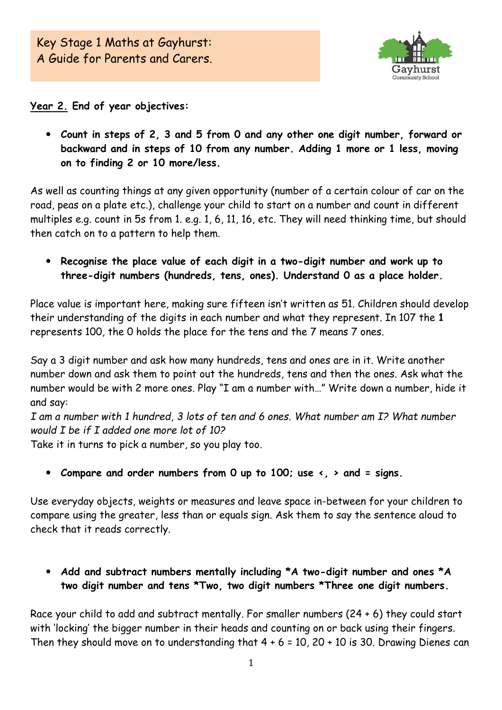

**Year 2. End of year objectives:**

 **Count in steps of 2, 3 and 5 from 0 and any other one digit number, forward or backward and in steps of 10 from any number. Adding 1 more or 1 less, moving on to finding 2 or 10 more/less.** 

As well as counting things at any given opportunity (number of a certain colour of car on the road, peas on a plate etc.), challenge your child to start on a number and count in different multiples e.g. count in 5s from 1. e.g. 1, 6, 11, 16, etc. They will need thinking time, but should then catch on to a pattern to help them.

 **Recognise the place value of each digit in a two-digit number and work up to three-digit numbers (hundreds, tens, ones). Understand 0 as a place holder.**

Place value is important here, making sure fifteen isn't written as 51. Children should develop their understanding of the digits in each number and what they represent. In 107 the **1** represents 100, the 0 holds the place for the tens and the 7 means 7 ones.

Say a 3 digit number and ask how many hundreds, tens and ones are in it. Write another number down and ask them to point out the hundreds, tens and then the ones. Ask what the number would be with 2 more ones. Play "I am a number with…" Write down a number, hide it and say:

*I am a number with 1 hundred, 3 lots of ten and 6 ones. What number am I? What number would I be if I added one more lot of 10?* Take it in turns to pick a number, so you play too.

**Compare and order numbers from 0 up to 100; use <, > and = signs.**

Use everyday objects, weights or measures and leave space in-between for your children to compare using the greater, less than or equals sign. Ask them to say the sentence aloud to check that it reads correctly.

 **Add and subtract numbers mentally including \*A two-digit number and ones \*A two digit number and tens \*Two, two digit numbers \*Three one digit numbers.**

Race your child to add and subtract mentally. For smaller numbers (24 + 6) they could start with 'locking' the bigger number in their heads and counting on or back using their fingers. Then they should move on to understanding that  $4 + 6 = 10$ ,  $20 + 10$  is 30. Drawing Dienes can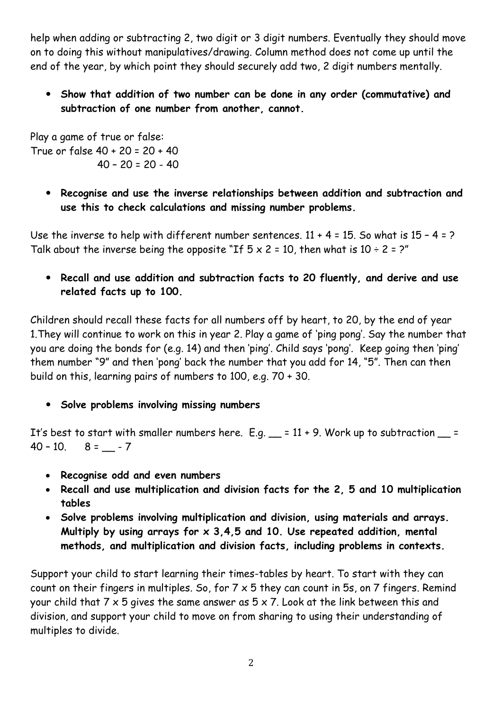help when adding or subtracting 2, two digit or 3 digit numbers. Eventually they should move on to doing this without manipulatives/drawing. Column method does not come up until the end of the year, by which point they should securely add two, 2 digit numbers mentally.

 **Show that addition of two number can be done in any order (commutative) and subtraction of one number from another, cannot.**

Play a game of true or false: True or false 40 + 20 = 20 + 40  $40 - 20 = 20 - 40$ 

 **Recognise and use the inverse relationships between addition and subtraction and use this to check calculations and missing number problems.**

Use the inverse to help with different number sentences.  $11 + 4 = 15$ . So what is  $15 - 4 = ?$ Talk about the inverse being the opposite "If  $5 \times 2 = 10$ , then what is  $10 \div 2 = ?''$ 

 **Recall and use addition and subtraction facts to 20 fluently, and derive and use related facts up to 100.**

Children should recall these facts for all numbers off by heart, to 20, by the end of year 1.They will continue to work on this in year 2. Play a game of 'ping pong'. Say the number that you are doing the bonds for (e.g. 14) and then 'ping'. Child says 'pong'. Keep going then 'ping' them number "9" and then 'pong' back the number that you add for 14, "5". Then can then build on this, learning pairs of numbers to 100, e.g. 70 + 30.

**Solve problems involving missing numbers** 

It's best to start with smaller numbers here. E.g.  $\_\_$  = 11 + 9. Work up to subtraction  $\_\_$  =  $40 - 10$ .  $8 = -7$ 

- **Recognise odd and even numbers**
- **Recall and use multiplication and division facts for the 2, 5 and 10 multiplication tables**
- **Solve problems involving multiplication and division, using materials and arrays. Multiply by using arrays for x 3,4,5 and 10. Use repeated addition, mental methods, and multiplication and division facts, including problems in contexts.**

Support your child to start learning their times-tables by heart. To start with they can count on their fingers in multiples. So, for  $7 \times 5$  they can count in 5s, on  $7$  fingers. Remind your child that  $7 \times 5$  gives the same answer as  $5 \times 7$ . Look at the link between this and division, and support your child to move on from sharing to using their understanding of multiples to divide.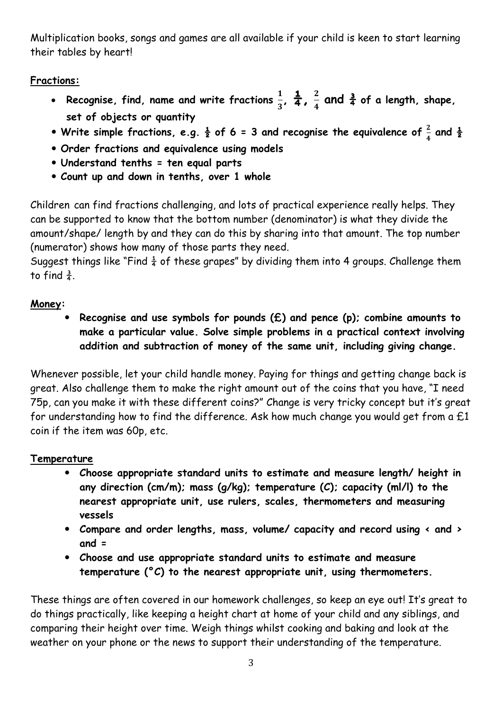Multiplication books, songs and games are all available if your child is keen to start learning their tables by heart!

# **Fractions:**

- Recognise, find, name and write fractions  $\frac{1}{3}$ ,  $\frac{1}{4}$ ,  $\frac{2}{4}$  $\frac{2}{4}$  and  $\frac{3}{4}$  of a length, shape, **set of objects or quantity**
- Write simple fractions, e.g.  $\frac{1}{2}$  of 6 = 3 and recognise the equivalence of  $\frac{2}{4}$  and  $\frac{1}{2}$
- **Order fractions and equivalence using models**
- **Understand tenths = ten equal parts**
- **Count up and down in tenths, over 1 whole**

Children can find fractions challenging, and lots of practical experience really helps. They can be supported to know that the bottom number (denominator) is what they divide the amount/shape/ length by and they can do this by sharing into that amount. The top number (numerator) shows how many of those parts they need.

Suggest things like "Find  $\frac{1}{4}$  of these grapes" by dividing them into 4 groups. Challenge them to find  $\frac{3}{4}$ .

# **Money:**

 **Recognise and use symbols for pounds (£) and pence (p); combine amounts to make a particular value. Solve simple problems in a practical context involving addition and subtraction of money of the same unit, including giving change.**

Whenever possible, let your child handle money. Paying for things and getting change back is great. Also challenge them to make the right amount out of the coins that you have, "I need 75p, can you make it with these different coins?" Change is very tricky concept but it's great for understanding how to find the difference. Ask how much change you would get from a  $£1$ coin if the item was 60p, etc.

## **Temperature**

- **Choose appropriate standard units to estimate and measure length/ height in any direction (cm/m); mass (g/kg); temperature (C); capacity (ml/l) to the nearest appropriate unit, use rulers, scales, thermometers and measuring vessels**
- **Compare and order lengths, mass, volume/ capacity and record using < and > and =**
- **Choose and use appropriate standard units to estimate and measure temperature (°C) to the nearest appropriate unit, using thermometers.**

These things are often covered in our homework challenges, so keep an eye out! It's great to do things practically, like keeping a height chart at home of your child and any siblings, and comparing their height over time. Weigh things whilst cooking and baking and look at the weather on your phone or the news to support their understanding of the temperature.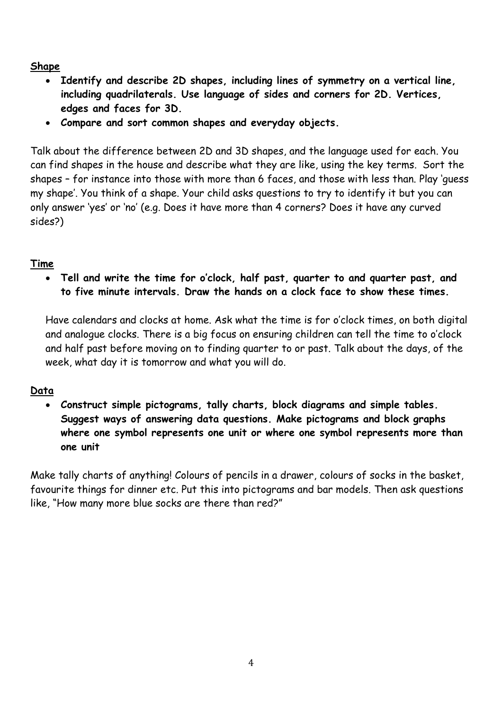#### **Shape**

- **Identify and describe 2D shapes, including lines of symmetry on a vertical line, including quadrilaterals. Use language of sides and corners for 2D. Vertices, edges and faces for 3D.**
- **Compare and sort common shapes and everyday objects.**

Talk about the difference between 2D and 3D shapes, and the language used for each. You can find shapes in the house and describe what they are like, using the key terms. Sort the shapes – for instance into those with more than 6 faces, and those with less than. Play 'guess my shape'. You think of a shape. Your child asks questions to try to identify it but you can only answer 'yes' or 'no' (e.g. Does it have more than 4 corners? Does it have any curved sides?)

#### **Time**

 **Tell and write the time for o'clock, half past, quarter to and quarter past, and to five minute intervals. Draw the hands on a clock face to show these times.**

Have calendars and clocks at home. Ask what the time is for o'clock times, on both digital and analogue clocks. There is a big focus on ensuring children can tell the time to o'clock and half past before moving on to finding quarter to or past. Talk about the days, of the week, what day it is tomorrow and what you will do.

## **Data**

 **Construct simple pictograms, tally charts, block diagrams and simple tables. Suggest ways of answering data questions. Make pictograms and block graphs where one symbol represents one unit or where one symbol represents more than one unit**

Make tally charts of anything! Colours of pencils in a drawer, colours of socks in the basket, favourite things for dinner etc. Put this into pictograms and bar models. Then ask questions like, "How many more blue socks are there than red?"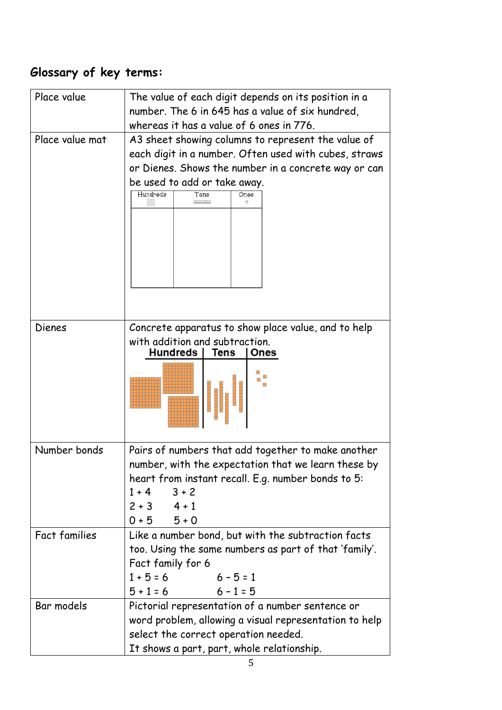# **Glossary of key terms:**

| Place value          | The value of each digit depends on its position in a<br>number. The 6 in 645 has a value of six hundred,<br>whereas it has a value of 6 ones in 776.                                                                            |
|----------------------|---------------------------------------------------------------------------------------------------------------------------------------------------------------------------------------------------------------------------------|
| Place value mat      | A3 sheet showing columns to represent the value of<br>each digit in a number. Often used with cubes, straws<br>or Dienes. Shows the number in a concrete way or can<br>be used to add or take away.<br>Hundreds<br>Ones<br>Tens |
| Dienes               | Concrete apparatus to show place value, and to help<br>with addition and subtraction.<br><b>Hundreds</b><br>Tens<br><b>Ones</b>                                                                                                 |
| Number bonds         | Pairs of numbers that add together to make another<br>number, with the expectation that we learn these by<br>heart from instant recall. E.g. number bonds to 5:<br>$1+4$ $3+2$<br>$2 + 3$ 4 + 1<br>$0+5$ $5+0$                  |
| <b>Fact families</b> | Like a number bond, but with the subtraction facts<br>too. Using the same numbers as part of that 'family'.<br>Fact family for 6<br>$1 + 5 = 6$<br>$6 - 5 = 1$<br>$5 + 1 = 6$<br>$6 - 1 = 5$                                    |
| Bar models           | Pictorial representation of a number sentence or<br>word problem, allowing a visual representation to help<br>select the correct operation needed.<br>It shows a part, part, whole relationship.                                |